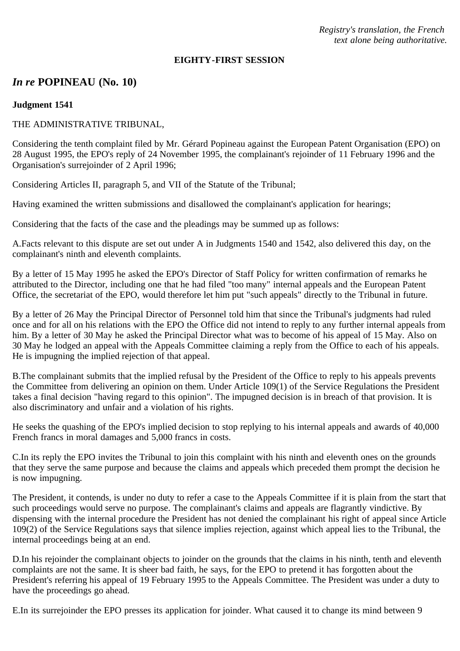*Registry's translation, the French text alone being authoritative.*

#### **EIGHTY-FIRST SESSION**

# *In re* **POPINEAU (No. 10)**

### **Judgment 1541**

### THE ADMINISTRATIVE TRIBUNAL,

Considering the tenth complaint filed by Mr. Gérard Popineau against the European Patent Organisation (EPO) on 28 August 1995, the EPO's reply of 24 November 1995, the complainant's rejoinder of 11 February 1996 and the Organisation's surrejoinder of 2 April 1996;

Considering Articles II, paragraph 5, and VII of the Statute of the Tribunal;

Having examined the written submissions and disallowed the complainant's application for hearings;

Considering that the facts of the case and the pleadings may be summed up as follows:

A.Facts relevant to this dispute are set out under A in Judgments 1540 and 1542, also delivered this day, on the complainant's ninth and eleventh complaints.

By a letter of 15 May 1995 he asked the EPO's Director of Staff Policy for written confirmation of remarks he attributed to the Director, including one that he had filed "too many" internal appeals and the European Patent Office, the secretariat of the EPO, would therefore let him put "such appeals" directly to the Tribunal in future.

By a letter of 26 May the Principal Director of Personnel told him that since the Tribunal's judgments had ruled once and for all on his relations with the EPO the Office did not intend to reply to any further internal appeals from him. By a letter of 30 May he asked the Principal Director what was to become of his appeal of 15 May. Also on 30 May he lodged an appeal with the Appeals Committee claiming a reply from the Office to each of his appeals. He is impugning the implied rejection of that appeal.

B.The complainant submits that the implied refusal by the President of the Office to reply to his appeals prevents the Committee from delivering an opinion on them. Under Article 109(1) of the Service Regulations the President takes a final decision "having regard to this opinion". The impugned decision is in breach of that provision. It is also discriminatory and unfair and a violation of his rights.

He seeks the quashing of the EPO's implied decision to stop replying to his internal appeals and awards of 40,000 French francs in moral damages and 5,000 francs in costs.

C.In its reply the EPO invites the Tribunal to join this complaint with his ninth and eleventh ones on the grounds that they serve the same purpose and because the claims and appeals which preceded them prompt the decision he is now impugning.

The President, it contends, is under no duty to refer a case to the Appeals Committee if it is plain from the start that such proceedings would serve no purpose. The complainant's claims and appeals are flagrantly vindictive. By dispensing with the internal procedure the President has not denied the complainant his right of appeal since Article 109(2) of the Service Regulations says that silence implies rejection, against which appeal lies to the Tribunal, the internal proceedings being at an end.

D.In his rejoinder the complainant objects to joinder on the grounds that the claims in his ninth, tenth and eleventh complaints are not the same. It is sheer bad faith, he says, for the EPO to pretend it has forgotten about the President's referring his appeal of 19 February 1995 to the Appeals Committee. The President was under a duty to have the proceedings go ahead.

E.In its surrejoinder the EPO presses its application for joinder. What caused it to change its mind between 9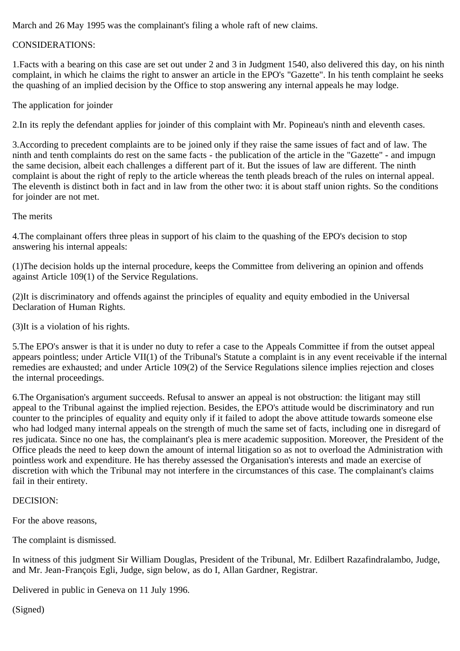March and 26 May 1995 was the complainant's filing a whole raft of new claims.

## CONSIDERATIONS:

1.Facts with a bearing on this case are set out under 2 and 3 in Judgment 1540, also delivered this day, on his ninth complaint, in which he claims the right to answer an article in the EPO's "Gazette". In his tenth complaint he seeks the quashing of an implied decision by the Office to stop answering any internal appeals he may lodge.

The application for joinder

2.In its reply the defendant applies for joinder of this complaint with Mr. Popineau's ninth and eleventh cases.

3.According to precedent complaints are to be joined only if they raise the same issues of fact and of law. The ninth and tenth complaints do rest on the same facts - the publication of the article in the "Gazette" - and impugn the same decision, albeit each challenges a different part of it. But the issues of law are different. The ninth complaint is about the right of reply to the article whereas the tenth pleads breach of the rules on internal appeal. The eleventh is distinct both in fact and in law from the other two: it is about staff union rights. So the conditions for joinder are not met.

The merits

4.The complainant offers three pleas in support of his claim to the quashing of the EPO's decision to stop answering his internal appeals:

(1)The decision holds up the internal procedure, keeps the Committee from delivering an opinion and offends against Article 109(1) of the Service Regulations.

(2)It is discriminatory and offends against the principles of equality and equity embodied in the Universal Declaration of Human Rights.

(3)It is a violation of his rights.

5.The EPO's answer is that it is under no duty to refer a case to the Appeals Committee if from the outset appeal appears pointless; under Article VII(1) of the Tribunal's Statute a complaint is in any event receivable if the internal remedies are exhausted; and under Article 109(2) of the Service Regulations silence implies rejection and closes the internal proceedings.

6.The Organisation's argument succeeds. Refusal to answer an appeal is not obstruction: the litigant may still appeal to the Tribunal against the implied rejection. Besides, the EPO's attitude would be discriminatory and run counter to the principles of equality and equity only if it failed to adopt the above attitude towards someone else who had lodged many internal appeals on the strength of much the same set of facts, including one in disregard of res judicata. Since no one has, the complainant's plea is mere academic supposition. Moreover, the President of the Office pleads the need to keep down the amount of internal litigation so as not to overload the Administration with pointless work and expenditure. He has thereby assessed the Organisation's interests and made an exercise of discretion with which the Tribunal may not interfere in the circumstances of this case. The complainant's claims fail in their entirety.

### DECISION:

For the above reasons,

The complaint is dismissed.

In witness of this judgment Sir William Douglas, President of the Tribunal, Mr. Edilbert Razafindralambo, Judge, and Mr. Jean-François Egli, Judge, sign below, as do I, Allan Gardner, Registrar.

Delivered in public in Geneva on 11 July 1996.

(Signed)